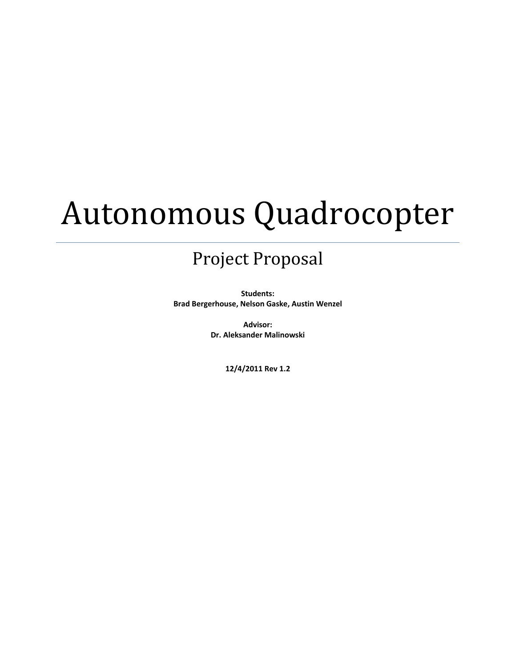# Autonomous Quadrocopter

# Project Proposal

**Students: Brad Bergerhouse, Nelson Gaske, Austin Wenzel**

> **Advisor: Dr. Aleksander Malinowski**

> > **12/4/2011 Rev 1.2**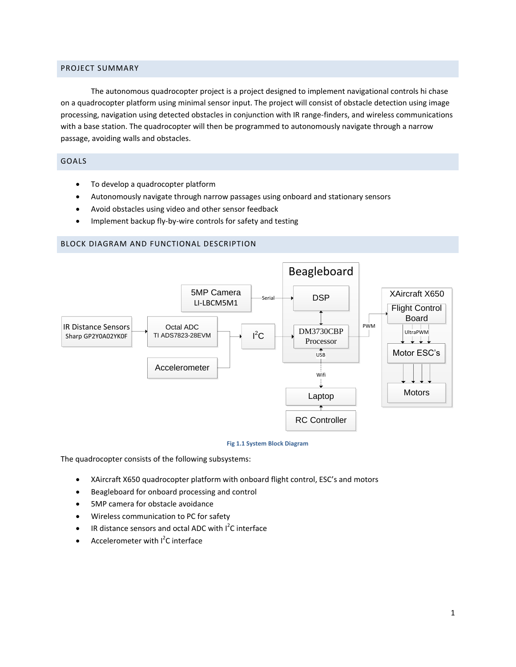## PROJECT SUMMARY

The autonomous quadrocopter project is a project designed to implement navigational controls hi chase on a quadrocopter platform using minimal sensor input. The project will consist of obstacle detection using image processing, navigation using detected obstacles in conjunction with IR range-finders, and wireless communications with a base station. The quadrocopter will then be programmed to autonomously navigate through a narrow passage, avoiding walls and obstacles.

# GOALS

- To develop a quadrocopter platform
- Autonomously navigate through narrow passages using onboard and stationary sensors
- Avoid obstacles using video and other sensor feedback
- Implement backup fly-by-wire controls for safety and testing

#### BLOCK DIAGRAM AND FUNCTIONAL DESCRIPTION



#### **Fig 1.1 System Block Diagram**

The quadrocopter consists of the following subsystems:

- XAircraft X650 quadrocopter platform with onboard flight control, ESC's and motors
- Beagleboard for onboard processing and control
- 5MP camera for obstacle avoidance
- Wireless communication to PC for safety
- $\bullet$  IR distance sensors and octal ADC with  $I^2C$  interface
- Accelerometer with  $I^2C$  interface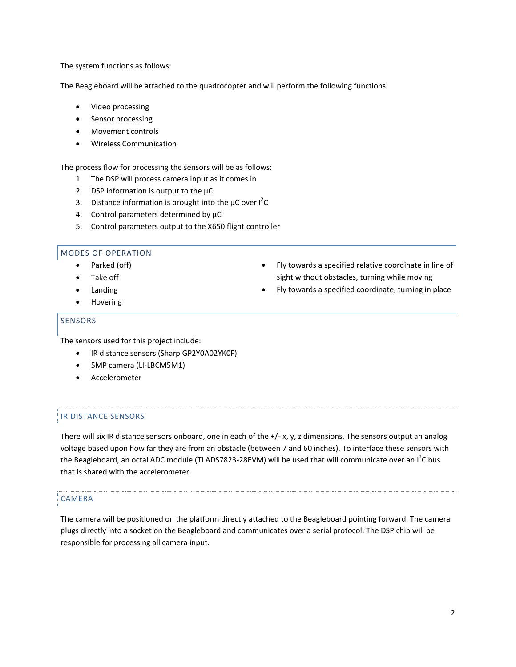The system functions as follows:

The Beagleboard will be attached to the quadrocopter and will perform the following functions:

- Video processing
- Sensor processing
- Movement controls
- Wireless Communication

The process flow for processing the sensors will be as follows:

- 1. The DSP will process camera input as it comes in
- 2. DSP information is output to the  $\mu$ C
- 3. Distance information is brought into the  $\mu$ C over  $I^2C$
- 4. Control parameters determined by  $\mu$ C
- 5. Control parameters output to the X650 flight controller

# MODES OF OPERATION

- Parked (off)
- Take off
- Landing
- Hovering

#### SENSORS

The sensors used for this project include:

- IR distance sensors (Sharp GP2Y0A02YK0F)
- 5MP camera (LI-LBCM5M1)
- Accelerometer

# IR DISTANCE SENSORS

There will six IR distance sensors onboard, one in each of the  $+/- x$ , y, z dimensions. The sensors output an analog voltage based upon how far they are from an obstacle (between 7 and 60 inches). To interface these sensors with the Beagleboard, an octal ADC module (TI ADS7823-28EVM) will be used that will communicate over an I<sup>2</sup>C bus that is shared with the accelerometer.

# CAMERA

The camera will be positioned on the platform directly attached to the Beagleboard pointing forward. The camera plugs directly into a socket on the Beagleboard and communicates over a serial protocol. The DSP chip will be responsible for processing all camera input.

- Fly towards a specified relative coordinate in line of sight without obstacles, turning while moving
- Fly towards a specified coordinate, turning in place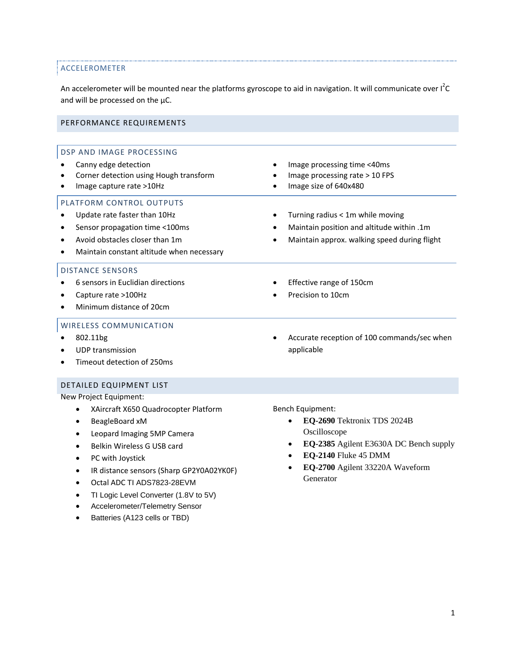# ACCELEROMETER

An accelerometer will be mounted near the platforms gyroscope to aid in navigation. It will communicate over I<sup>2</sup>C and will be processed on the  $\mu$ C.

#### PERFORMANCE REQUIREMENTS

#### DSP AND IMAGE PROCESSING Canny edge detection Corner detection using Hough transform Image capture rate >10Hz Image processing time <40ms Image processing rate > 10 FPS Image size of 640x480 PLATFORM CONTROL OUTPUTS Update rate faster than 10Hz Sensor propagation time <100ms Avoid obstacles closer than 1m Maintain constant altitude when necessary Turning radius < 1m while moving Maintain position and altitude within .1m Maintain approx. walking speed during flight DISTANCE SENSORS 6 sensors in Euclidian directions Capture rate >100Hz Minimum distance of 20cm Effective range of 150cm Precision to 10cm WIRELESS COMMUNICATION 802.11bg UDP transmission Timeout detection of 250ms Accurate reception of 100 commands/sec when applicable

DETAILED EQUIPMENT LIST

New Project Equipment:

- XAircraft X650 Quadrocopter Platform
- BeagleBoard xM
- Leopard Imaging 5MP Camera
- Belkin Wireless G USB card
- PC with Joystick
- IR distance sensors (Sharp GP2Y0A02YK0F)
- Octal ADC TI ADS7823-28EVM
- TI Logic Level Converter (1.8V to 5V)
- Accelerometer/Telemetry Sensor
- Batteries (A123 cells or TBD)

Bench Equipment:

- **EQ-2690** Tektronix TDS 2024B Oscilloscope
- **EQ-2385** Agilent E3630A DC Bench supply
- **EQ-2140** Fluke 45 DMM
- **EQ-2700** Agilent 33220A Waveform Generator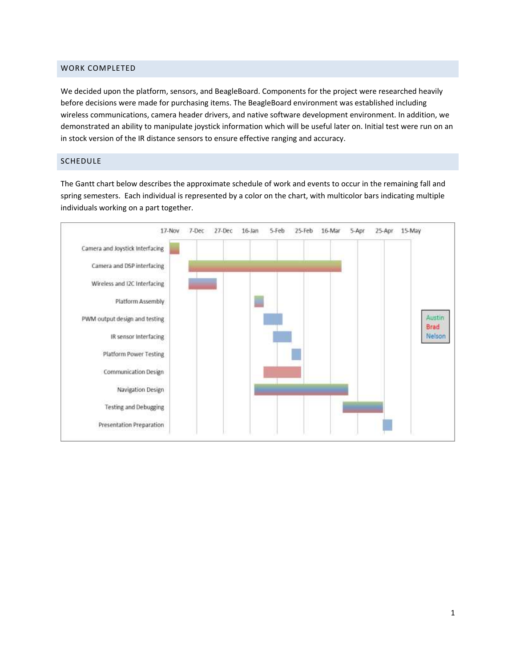#### WORK COMPLETED

We decided upon the platform, sensors, and BeagleBoard. Components for the project were researched heavily before decisions were made for purchasing items. The BeagleBoard environment was established including wireless communications, camera header drivers, and native software development environment. In addition, we demonstrated an ability to manipulate joystick information which will be useful later on. Initial test were run on an in stock version of the IR distance sensors to ensure effective ranging and accuracy.

#### SCHEDULE

The Gantt chart below describes the approximate schedule of work and events to occur in the remaining fall and spring semesters. Each individual is represented by a color on the chart, with multicolor bars indicating multiple individuals working on a part together.